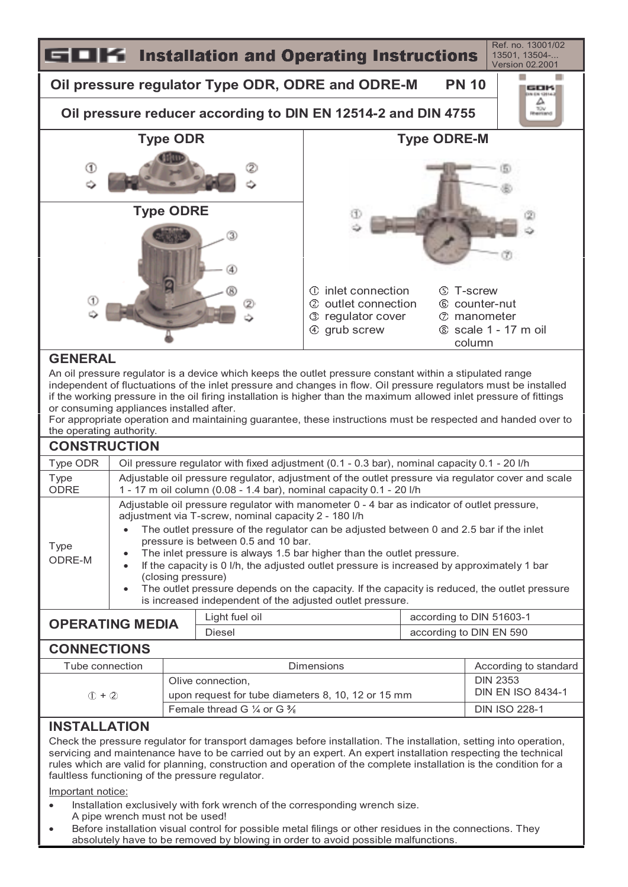

Important notice:

- Installation exclusively with fork wrench of the corresponding wrench size.
- A pipe wrench must not be used!
- Before installation visual control for possible metal filings or other residues in the connections. They absolutely have to be removed by blowing in order to avoid possible malfunctions.